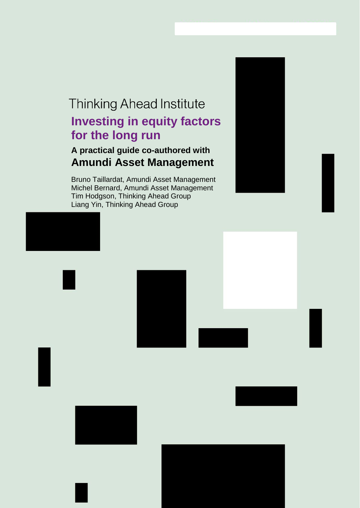# **Thinking Ahead Institute Investing in equity factors for the long run**

## **A practical guide co-authored with Amundi Asset Management**

Bruno Taillardat, Amundi Asset Management Michel Bernard, Amundi Asset Management Tim Hodgson, Thinking Ahead Group Liang Yin, Thinking Ahead Group



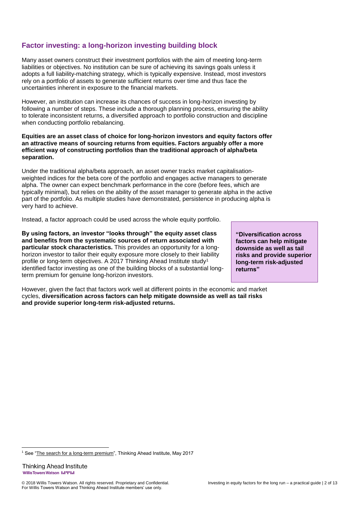## **Factor investing: a long-horizon investing building block**

Many asset owners construct their investment portfolios with the aim of meeting long-term liabilities or objectives. No institution can be sure of achieving its savings goals unless it adopts a full liability-matching strategy, which is typically expensive. Instead, most investors rely on a portfolio of assets to generate sufficient returns over time and thus face the uncertainties inherent in exposure to the financial markets.

However, an institution can increase its chances of success in long-horizon investing by following a number of steps. These include a thorough planning process, ensuring the ability to tolerate inconsistent returns, a diversified approach to portfolio construction and discipline when conducting portfolio rebalancing.

**Equities are an asset class of choice for long-horizon investors and equity factors offer an attractive means of sourcing returns from equities. Factors arguably offer a more efficient way of constructing portfolios than the traditional approach of alpha/beta separation.** 

Under the traditional alpha/beta approach, an asset owner tracks market capitalisationweighted indices for the beta core of the portfolio and engages active managers to generate alpha. The owner can expect benchmark performance in the core (before fees, which are typically minimal), but relies on the ability of the asset manager to generate alpha in the active part of the portfolio. As multiple studies have demonstrated, persistence in producing alpha is very hard to achieve.

Instead, a factor approach could be used across the whole equity portfolio.

**By using factors, an investor "looks through" the equity asset class and benefits from the systematic sources of return associated with particular stock characteristics.** This provides an opportunity for a longhorizon investor to tailor their equity exposure more closely to their liability profile or long-term objectives. A 2017 Thinking Ahead Institute study<sup>1</sup> identified factor investing as one of the building blocks of a substantial longterm premium for genuine long-horizon investors.

However, given the fact that factors work well at different points in the economic and market cycles, **diversification across factors can help mitigate downside as well as tail risks and provide superior long-term risk-adjusted returns.**

**"Diversification across factors can help mitigate downside as well as tail risks and provide superior long-term risk-adjusted returns"**

<sup>-</sup><sup>1</sup> See ["The search for a long-term premium"](https://www.thinkingaheadinstitute.org/en/Library/Research-and-Ideas/The-search-for-a-long-term-premium), Thinking Ahead Institute, May 2017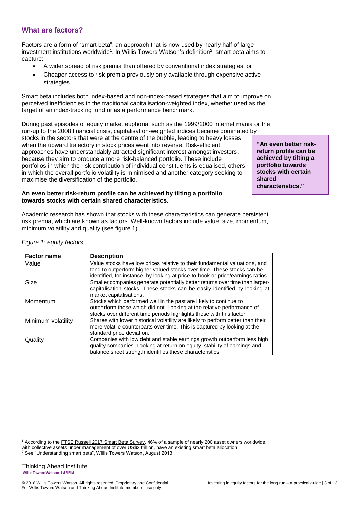## **What are factors?**

Factors are a form of "smart beta", an approach that is now used by nearly half of large investment institutions worldwide<sup>1</sup>. In Willis Towers Watson's definition<sup>2</sup>, smart beta aims to capture:

- A wider spread of risk premia than offered by conventional index strategies, or
- Cheaper access to risk premia previously only available through expensive active strategies.

Smart beta includes both index-based and non-index-based strategies that aim to improve on perceived inefficiencies in the traditional capitalisation-weighted index, whether used as the target of an index-tracking fund or as a performance benchmark.

During past episodes of equity market euphoria, such as the 1999/2000 internet mania or the run-up to the 2008 financial crisis, capitalisation-weighted indices became dominated by stocks in the sectors that were at the centre of the bubble, leading to heavy losses when the upward trajectory in stock prices went into reverse. Risk-efficient approaches have understandably attracted significant interest amongst investors, because they aim to produce a more risk-balanced portfolio. These include portfolios in which the risk contribution of individual constituents is equalised, others in which the overall portfolio volatility is minimised and another category seeking to maximise the diversification of the portfolio.

**An even better risk-return profile can be achieved by tilting a portfolio towards stocks with certain shared characteristics.** 

Academic research has shown that stocks with these characteristics can generate persistent risk premia, which are known as factors. Well-known factors include value, size, momentum, minimum volatility and quality (see figure 1).

| <b>Factor name</b> | <b>Description</b>                                                                                                                                                                                                                      |
|--------------------|-----------------------------------------------------------------------------------------------------------------------------------------------------------------------------------------------------------------------------------------|
| Value              | Value stocks have low prices relative to their fundamental valuations, and<br>tend to outperform higher-valued stocks over time. These stocks can be<br>identified, for instance, by looking at price-to-book or price/earnings ratios. |
| <b>Size</b>        | Smaller companies generate potentially better returns over time than larger-<br>capitalisation stocks. These stocks can be easily identified by looking at<br>market capitalisations.                                                   |
| Momentum           | Stocks which performed well in the past are likely to continue to<br>outperform those which did not. Looking at the relative performance of<br>stocks over different time periods highlights those with this factor.                    |
| Minimum volatility | Shares with lower historical volatility are likely to perform better than their<br>more volatile counterparts over time. This is captured by looking at the<br>standard price deviation.                                                |
| Quality            | Companies with low debt and stable earnings growth outperform less high<br>quality companies. Looking at return on equity, stability of earnings and<br>balance sheet strength identifies these characteristics.                        |

*Figure 1: equity factors*

-

**"An even better riskreturn profile can be achieved by tilting a portfolio towards stocks with certain shared characteristics."**

<sup>&</sup>lt;sup>1</sup> According to the [FTSE Russell 2017 Smart Beta Survey,](http://www.ftserussell.com/smart-beta-survey) 46% of a sample of nearly 200 asset owners worldwide, with collective assets under management of over US\$2 trillion, have an existing smart beta allocation.

<sup>2</sup> See ["Understanding smart beta"](https://www.towerswatson.com/en-GB/Insights/IC-Types/Ad-hoc-Point-of-View/2013/08/Understanding-smart-beta), Willis Towers Watson, August 2013.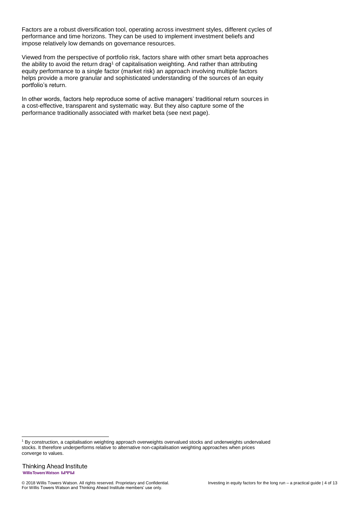Factors are a robust diversification tool, operating across investment styles, different cycles of performance and time horizons. They can be used to implement investment beliefs and impose relatively low demands on governance resources.

Viewed from the perspective of portfolio risk, factors share with other smart beta approaches the ability to avoid the return drag<sup>1</sup> of capitalisation weighting. And rather than attributing equity performance to a single factor (market risk) an approach involving multiple factors helps provide a more granular and sophisticated understanding of the sources of an equity portfolio's return.

In other words, factors help reproduce some of active managers' traditional return sources in a cost-effective, transparent and systematic way. But they also capture some of the performance traditionally associated with market beta (see next page).

-

<sup>1</sup> By construction, a capitalisation weighting approach overweights overvalued stocks and underweights undervalued stocks. It therefore underperforms relative to alternative non-capitalisation weighting approaches when prices converge to values.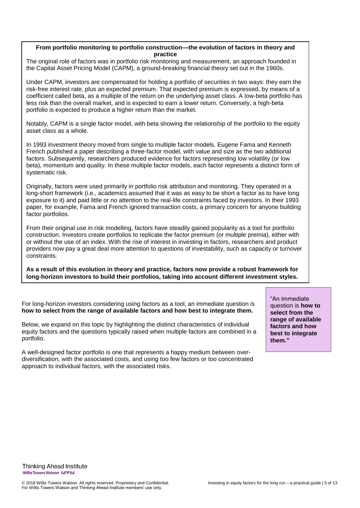## **From portfolio monitoring to portfolio construction—the evolution of factors in theory and practice**

The original role of factors was in portfolio risk monitoring and measurement, an approach founded in the Capital Asset Pricing Model (CAPM), a ground-breaking financial theory set out in the 1960s.

Under CAPM, investors are compensated for holding a portfolio of securities in two ways: they earn the risk-free interest rate, plus an expected premium. That expected premium is expressed, by means of a coefficient called beta, as a multiple of the return on the underlying asset class. A low-beta portfolio has less risk than the overall market, and is expected to earn a lower return. Conversely, a high-beta portfolio is expected to produce a higher return than the market.

Notably, CAPM is a single factor model, with beta showing the relationship of the portfolio to the equity asset class as a whole.

In 1993 investment theory moved from single to multiple factor models. Eugene Fama and Kenneth French published a paper describing a three-factor model, with value and size as the two additional factors. Subsequently, researchers produced evidence for factors representing low volatility (or low beta), momentum and quality. In these multiple factor models, each factor represents a distinct form of systematic risk.

Originally, factors were used primarily in portfolio risk attribution and monitoring. They operated in a long-short framework (i.e., academics assumed that it was as easy to be short a factor as to have long exposure to it) and paid little or no attention to the real-life constraints faced by investors. In their 1993 paper, for example, Fama and French ignored transaction costs, a primary concern for anyone building factor portfolios.

From their original use in risk modelling, factors have steadily gained popularity as a tool for portfolio construction. Investors create portfolios to replicate the factor premium (or multiple premia), either with or without the use of an index. With the rise of interest in investing in factors, researchers and product providers now pay a great deal more attention to questions of investability, such as capacity or turnover constraints.

**As a result of this evolution in theory and practice, factors now provide a robust framework for long-horizon investors to build their portfolios, taking into account different investment styles.** 

For long-horizon investors considering using factors as a tool, an immediate question is **how to select from the range of available factors and how best to integrate them.** 

Below, we expand on this topic by highlighting the distinct characteristics of individual equity factors and the questions typically raised when multiple factors are combined in a portfolio.

A well-designed factor portfolio is one that represents a happy medium between overdiversification, with the associated costs, and using too few factors or too concentrated approach to individual factors, with the associated risks.

"An immediate question is **how to select from the range of available factors and how best to integrate them."**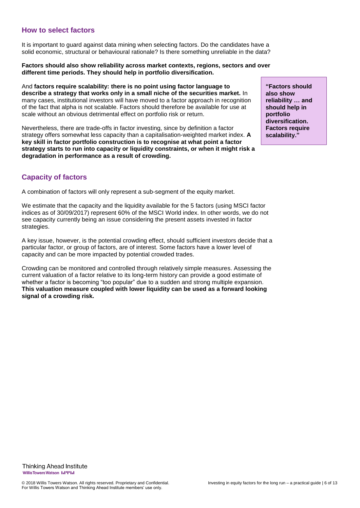## **How to select factors**

It is important to guard against data mining when selecting factors. Do the candidates have a solid economic, structural or behavioural rationale? Is there something unreliable in the data?

#### **Factors should also show reliability across market contexts, regions, sectors and over different time periods. They should help in portfolio diversification.**

And **factors require scalability: there is no point using factor language to describe a strategy that works only in a small niche of the securities market.** In many cases, institutional investors will have moved to a factor approach in recognition of the fact that alpha is not scalable. Factors should therefore be available for use at scale without an obvious detrimental effect on portfolio risk or return.

Nevertheless, there are trade-offs in factor investing, since by definition a factor strategy offers somewhat less capacity than a capitalisation-weighted market index. **A key skill in factor portfolio construction is to recognise at what point a factor strategy starts to run into capacity or liquidity constraints, or when it might risk a degradation in performance as a result of crowding.**

**Capacity of factors**

A combination of factors will only represent a sub-segment of the equity market.

We estimate that the capacity and the liquidity available for the 5 factors (using MSCI factor indices as of 30/09/2017) represent 60% of the MSCI World index. In other words, we do not see capacity currently being an issue considering the present assets invested in factor strategies.

A key issue, however, is the potential crowding effect, should sufficient investors decide that a particular factor, or group of factors, are of interest. Some factors have a lower level of capacity and can be more impacted by potential crowded trades.

Crowding can be monitored and controlled through relatively simple measures. Assessing the current valuation of a factor relative to its long-term history can provide a good estimate of whether a factor is becoming "too popular" due to a sudden and strong multiple expansion. **This valuation measure coupled with lower liquidity can be used as a forward looking signal of a crowding risk.**

**"Factors should also show reliability … and should help in portfolio diversification. Factors require scalability."**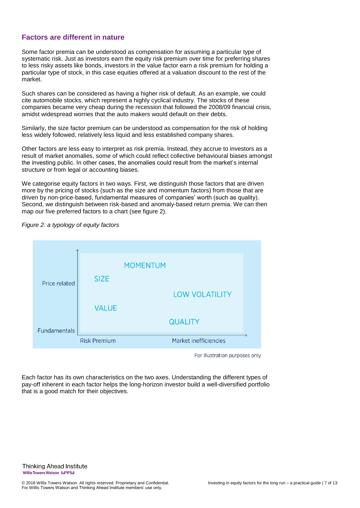## **Factors are different in nature**

Some factor premia can be understood as compensation for assuming a particular type of systematic risk. Just as investors earn the equity risk premium over time for preferring shares to less risky assets like bonds, investors in the value factor earn a risk premium for holding a particular type of stock, in this case equities offered at a valuation discount to the rest of the market.

Such shares can be considered as having a higher risk of default. As an example, we could cite automobile stocks, which represent a highly cyclical industry. The stocks of these companies became very cheap during the recession that followed the 2008/09 financial crisis, amidst widespread worries that the auto makers would default on their debts.

Similarly, the size factor premium can be understood as compensation for the risk of holding less widely followed, relatively less liquid and less established company shares.

Other factors are less easy to interpret as risk premia. Instead, they accrue to investors as a result of market anomalies, some of which could reflect collective behavioural biases amongst the investing public. In other cases, the anomalies could result from the market's internal structure or from legal or accounting biases.

We categorise equity factors in two ways. First, we distinguish those factors that are driven more by the pricing of stocks (such as the size and momentum factors) from those that are driven by non-price-based, fundamental measures of companies' worth (such as quality). Second, we distinguish between risk-based and anomaly-based return premia. We can then map our five preferred factors to a chart (see figure 2).



*Figure 2: a typology of equity factors* 

For illustration purposes only

Each factor has its own characteristics on the two axes. Understanding the different types of pay-off inherent in each factor helps the long-horizon investor build a well-diversified portfolio that is a good match for their objectives.

**Thinking Ahead Institute** WillisTowersWatson I.I'I'I.I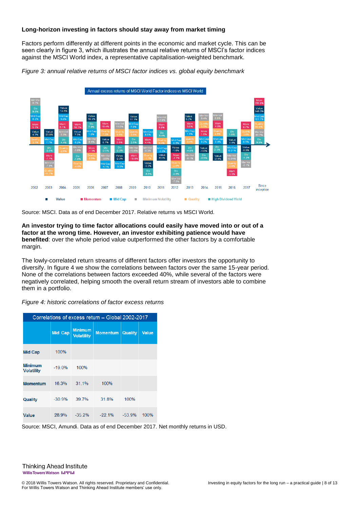#### **Long-horizon investing in factors should stay away from market timing**

Factors perform differently at different points in the economic and market cycle. This can be seen clearly in figure 3, which illustrates the annual relative returns of MSCI's factor indices against the MSCI World index, a representative capitalisation-weighted benchmark.

*Figure 3: annual relative returns of MSCI factor indices vs. global equity benchmark*



Source: MSCI. Data as of end December 2017. Relative returns vs MSCI World.

**An investor trying to time factor allocations could easily have moved into or out of a factor at the wrong time. However, an investor exhibiting patience would have benefited**: over the whole period value outperformed the other factors by a comfortable margin.

The lowly-correlated return streams of different factors offer investors the opportunity to diversify. In figure 4 we show the correlations between factors over the same 15-year period. None of the correlations between factors exceeded 40%, while several of the factors were negatively correlated, helping smooth the overall return stream of investors able to combine them in a portfolio.

|  |  | Figure 4: historic correlations of factor excess returns |  |  |  |
|--|--|----------------------------------------------------------|--|--|--|
|--|--|----------------------------------------------------------|--|--|--|

| Correlations of excess return - Global 2002-2017 |                |                                     |                 |                |              |  |  |  |
|--------------------------------------------------|----------------|-------------------------------------|-----------------|----------------|--------------|--|--|--|
|                                                  | <b>Mid Cap</b> | <b>Minimum</b><br><b>Volatility</b> | <b>Momentum</b> | <b>Quality</b> | <b>Value</b> |  |  |  |
| <b>Mid Cap</b>                                   | 100%           |                                     |                 |                |              |  |  |  |
| <b>Minimum</b><br><b>Volatility</b>              | $-19.0%$       | 100%                                |                 |                |              |  |  |  |
| <b>Momentum</b>                                  | 16.3%          | 31 1%                               | 100%            |                |              |  |  |  |
| Quality                                          | $-30.9%$       | 39.7%                               | 31.8%           | 100%           |              |  |  |  |
| Value                                            | 28.9%          | $-35.2%$                            | $-22.1%$        | $-53.9%$       | 100%         |  |  |  |

Source: MSCI, Amundi. Data as of end December 2017. Net monthly returns in USD.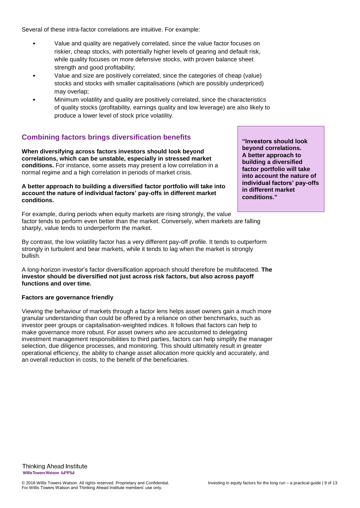Several of these intra-factor correlations are intuitive. For example:

- Value and quality are negatively correlated, since the value factor focuses on riskier, cheap stocks, with potentially higher levels of gearing and default risk, while quality focuses on more defensive stocks, with proven balance sheet strength and good profitability;
- Value and size are positively correlated, since the categories of cheap (value) stocks and stocks with smaller capitalisations (which are possibly underpriced) may overlap;
- Minimum volatility and quality are positively correlated, since the characteristics of quality stocks (profitability, earnings quality and low leverage) are also likely to produce a lower level of stock price volatility.

## **Combining factors brings diversification benefits**

**When diversifying across factors investors should look beyond correlations, which can be unstable, especially in stressed market conditions.** For instance, some assets may present a low correlation in a normal regime and a high correlation in periods of market crisis.

#### **A better approach to building a diversified factor portfolio will take into account the nature of individual factors' pay-offs in different market conditions.**

For example, during periods when equity markets are rising strongly, the value factor tends to perform even better than the market. Conversely, when markets are falling sharply, value tends to underperform the market.

By contrast, the low volatility factor has a very different pay-off profile. It tends to outperform strongly in turbulent and bear markets, while it tends to lag when the market is strongly bullish.

A long-horizon investor's factor diversification approach should therefore be multifaceted. **The investor should be diversified not just across risk factors, but also across payoff functions and over time.** 

## **Factors are governance friendly**

Viewing the behaviour of markets through a factor lens helps asset owners gain a much more granular understanding than could be offered by a reliance on other benchmarks, such as investor peer groups or capitalisation-weighted indices. It follows that factors can help to make governance more robust. For asset owners who are accustomed to delegating investment management responsibilities to third parties, factors can help simplify the manager selection, due diligence processes, and monitoring. This should ultimately result in greater operational efficiency, the ability to change asset allocation more quickly and accurately, and an overall reduction in costs, to the benefit of the beneficiaries.

**"Investors should look beyond correlations. A better approach to building a diversified factor portfolio will take into account the nature of individual factors' pay-offs in different market conditions."**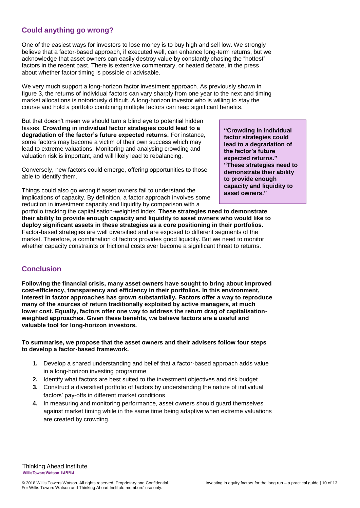## **Could anything go wrong?**

One of the easiest ways for investors to lose money is to buy high and sell low. We strongly believe that a factor-based approach, if executed well, can enhance long-term returns, but we acknowledge that asset owners can easily destroy value by constantly chasing the "hottest" factors in the recent past. There is extensive commentary, or heated debate, in the press about whether factor timing is possible or advisable.

We very much support a long-horizon factor investment approach. As previously shown in figure 3, the returns of individual factors can vary sharply from one year to the next and timing market allocations is notoriously difficult. A long-horizon investor who is willing to stay the course and hold a portfolio combining multiple factors can reap significant benefits.

But that doesn't mean we should turn a blind eye to potential hidden biases. **Crowding in individual factor strategies could lead to a degradation of the factor's future expected returns.** For instance, some factors may become a victim of their own success which may lead to extreme valuations. Monitoring and analysing crowding and valuation risk is important, and will likely lead to rebalancing.

Conversely, new factors could emerge, offering opportunities to those able to identify them.

Things could also go wrong if asset owners fail to understand the implications of capacity. By definition, a factor approach involves some reduction in investment capacity and liquidity by comparison with a

portfolio tracking the capitalisation-weighted index. **These strategies need to demonstrate their ability to provide enough capacity and liquidity to asset owners who would like to deploy significant assets in these strategies as a core positioning in their portfolios.** Factor-based strategies are well diversified and are exposed to different segments of the market. Therefore, a combination of factors provides good liquidity. But we need to monitor whether capacity constraints or frictional costs ever become a significant threat to returns.

## **Conclusion**

**Following the financial crisis, many asset owners have sought to bring about improved cost-efficiency, transparency and efficiency in their portfolios. In this environment, interest in factor approaches has grown substantially. Factors offer a way to reproduce many of the sources of return traditionally exploited by active managers, at much lower cost. Equally, factors offer one way to address the return drag of capitalisationweighted approaches. Given these benefits, we believe factors are a useful and valuable tool for long-horizon investors.**

#### **To summarise, we propose that the asset owners and their advisers follow four steps to develop a factor-based framework.**

- **1.** Develop a shared understanding and belief that a factor-based approach adds value in a long-horizon investing programme
- **2.** Identify what factors are best suited to the investment objectives and risk budget
- **3.** Construct a diversified portfolio of factors by understanding the nature of individual factors' pay-offs in different market conditions
- **4.** In measuring and monitoring performance, asset owners should guard themselves against market timing while in the same time being adaptive when extreme valuations are created by crowding.

**Thinking Ahead Institute** WillisTowersWatson I.I'I'I.I

**"Crowding in individual factor strategies could lead to a degradation of the factor's future expected returns." "These strategies need to demonstrate their ability to provide enough capacity and liquidity to asset owners."**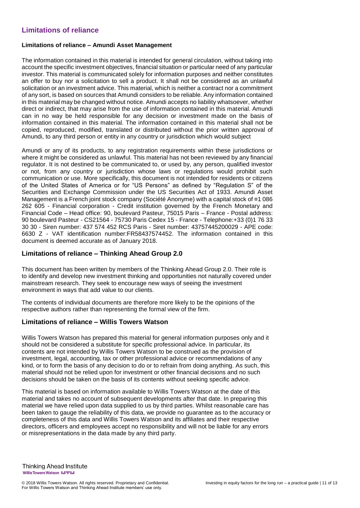## **Limitations of reliance**

#### **Limitations of reliance – Amundi Asset Management**

The information contained in this material is intended for general circulation, without taking into account the specific investment objectives, financial situation or particular need of any particular investor. This material is communicated solely for information purposes and neither constitutes an offer to buy nor a solicitation to sell a product. It shall not be considered as an unlawful solicitation or an investment advice. This material, which is neither a contract nor a commitment of any sort, is based on sources that Amundi considers to be reliable. Any information contained in this material may be changed without notice. Amundi accepts no liability whatsoever, whether direct or indirect, that may arise from the use of information contained in this material. Amundi can in no way be held responsible for any decision or investment made on the basis of information contained in this material. The information contained in this material shall not be copied, reproduced, modified, translated or distributed without the prior written approval of Amundi, to any third person or entity in any country or jurisdiction which would subject

Amundi or any of its products, to any registration requirements within these jurisdictions or where it might be considered as unlawful. This material has not been reviewed by any financial regulator. It is not destined to be communicated to, or used by, any person, qualified investor or not, from any country or jurisdiction whose laws or regulations would prohibit such communication or use. More specifically, this document is not intended for residents or citizens of the United States of America or for "US Persons" as defined by "Regulation S" of the Securities and Exchange Commission under the US Securities Act of 1933. Amundi Asset Management is a French joint stock company (Société Anonyme) with a capital stock of ¤1 086 262 605 - Financial corporation - Credit institution governed by the French Monetary and Financial Code – Head office: 90, boulevard Pasteur, 75015 Paris – France - Postal address: 90 boulevard Pasteur - CS21564 - 75730 Paris Cedex 15 - France - Telephone:+33 (0)1 76 33 30 30 - Siren number: 437 574 452 RCS Paris - Siret number: 43757445200029 - APE code: 6630 Z - VAT identification number:FR58437574452. The information contained in this document is deemed accurate as of January 2018.

## **Limitations of reliance – Thinking Ahead Group 2.0**

This document has been written by members of the Thinking Ahead Group 2.0. Their role is to identify and develop new investment thinking and opportunities not naturally covered under mainstream research. They seek to encourage new ways of seeing the investment environment in ways that add value to our clients.

The contents of individual documents are therefore more likely to be the opinions of the respective authors rather than representing the formal view of the firm.

## **Limitations of reliance – Willis Towers Watson**

Willis Towers Watson has prepared this material for general information purposes only and it should not be considered a substitute for specific professional advice. In particular, its contents are not intended by Willis Towers Watson to be construed as the provision of investment, legal, accounting, tax or other professional advice or recommendations of any kind, or to form the basis of any decision to do or to refrain from doing anything. As such, this material should not be relied upon for investment or other financial decisions and no such decisions should be taken on the basis of its contents without seeking specific advice.

This material is based on information available to Willis Towers Watson at the date of this material and takes no account of subsequent developments after that date. In preparing this material we have relied upon data supplied to us by third parties. Whilst reasonable care has been taken to gauge the reliability of this data, we provide no guarantee as to the accuracy or completeness of this data and Willis Towers Watson and its affiliates and their respective directors, officers and employees accept no responsibility and will not be liable for any errors or misrepresentations in the data made by any third party.

**Thinking Ahead Institute** Willis Towers Watson I.I'I'I.I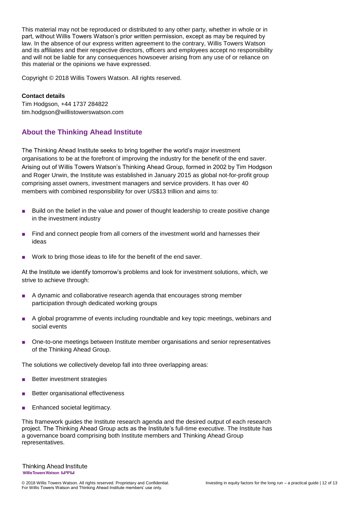This material may not be reproduced or distributed to any other party, whether in whole or in part, without Willis Towers Watson's prior written permission, except as may be required by law. In the absence of our express written agreement to the contrary, Willis Towers Watson and its affiliates and their respective directors, officers and employees accept no responsibility and will not be liable for any consequences howsoever arising from any use of or reliance on this material or the opinions we have expressed.

Copyright © 2018 Willis Towers Watson. All rights reserved.

#### **Contact details**

Tim Hodgson, +44 1737 284822 tim.hodgson@willistowerswatson.com

## **About the Thinking Ahead Institute**

The Thinking Ahead Institute seeks to bring together the world's major investment organisations to be at the forefront of improving the industry for the benefit of the end saver. Arising out of Willis Towers Watson's Thinking Ahead Group, formed in 2002 by Tim Hodgson and Roger Urwin, the Institute was established in January 2015 as global not-for-profit group comprising asset owners, investment managers and service providers. It has over 40 members with combined responsibility for over US\$13 trillion and aims to:

- Build on the belief in the value and power of thought leadership to create positive change in the investment industry
- Find and connect people from all corners of the investment world and harnesses their ideas
- Work to bring those ideas to life for the benefit of the end saver.

At the Institute we identify tomorrow's problems and look for investment solutions, which, we strive to achieve through:

- A dynamic and collaborative research agenda that encourages strong member participation through dedicated working groups
- A global programme of events including roundtable and key topic meetings, webinars and social events
- One-to-one meetings between Institute member organisations and senior representatives of the Thinking Ahead Group.

The solutions we collectively develop fall into three overlapping areas:

- Better investment strategies
- Better organisational effectiveness
- Enhanced societal legitimacy.

This framework guides the Institute research agenda and the desired output of each research project. The Thinking Ahead Group acts as the Institute's full-time executive. The Institute has a governance board comprising both Institute members and Thinking Ahead Group representatives.